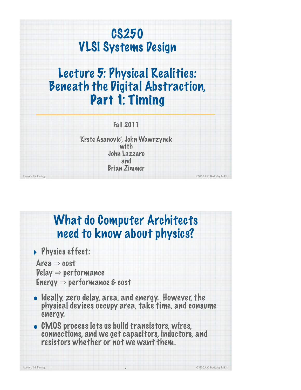## CS250 VLSI Systems Design

## Lecture 5: Physical Realities: Beneath the Digital Abstraction, Part 1: Timing

| <b>Fall 2011</b> |  |
|------------------|--|
|                  |  |
|                  |  |

Lecture 05, Timing CS250, UC Berkeley Fall '11 Krste Asanovic', John Wawrzynek with John Lazzaro and Brian Zimmer

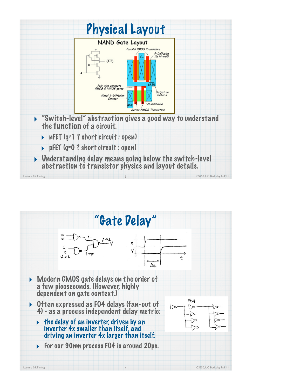

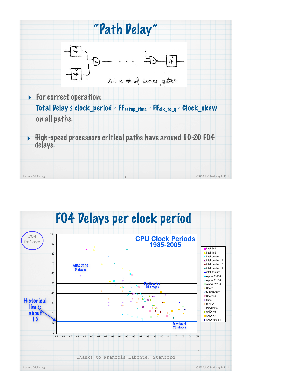

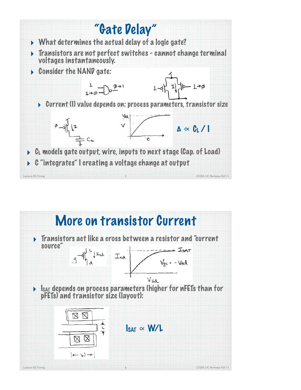

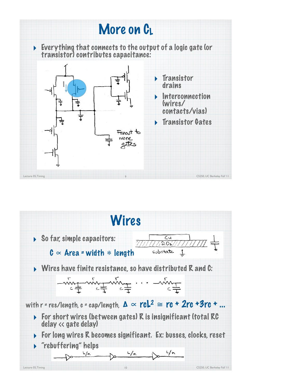

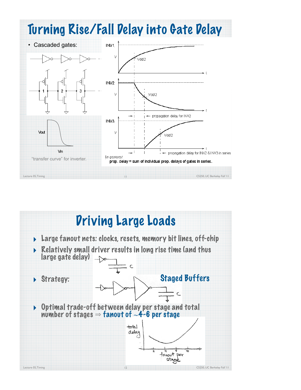

## Driving Large Loads ‣ Large fanout nets: clocks, resets, memory bit lines, off-chip ‣ Relatively small driver results in long rise time (and thus large gate delay) C Staged BuffersStrategy:  $\subset$ ‣ Optimal trade-off between delay per stage and total number of stages ⇒ fanout of ∼4-6 per stage  $+$ stal delay fanout per stage Lecture 05, Timing CS250, UC Berkeley Fall '11 12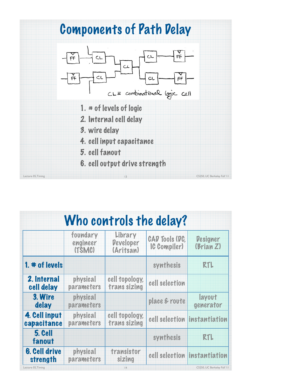

| Who controls the delay?          |                                |                                          |                                       |                              |  |  |
|----------------------------------|--------------------------------|------------------------------------------|---------------------------------------|------------------------------|--|--|
|                                  | foundary<br>engineer<br>(TSMC) | Library<br><b>Developer</b><br>(Aritsan) | <b>CAD Tools (DC)</b><br>IC Compiler) | <b>Designer</b><br>(Brian Z) |  |  |
| $1.$ $*$ of levels               |                                |                                          | synthesis                             | <b>RTL</b>                   |  |  |
| 2. Internal<br>cell delay        | physical<br>parameters         | cell topology,<br>trans sizing           | cell selection                        |                              |  |  |
| 3. Wire<br>delay                 | physical<br>parameters         |                                          | place & route                         | layout<br>generator          |  |  |
| 4. Cell input<br>capacitance     | physical<br>parameters         | cell topology,<br>trans sizing           |                                       | cell selection instantiation |  |  |
| 5. Cell<br>fanout                |                                |                                          | synthesis                             | RTL                          |  |  |
| <b>6. Cell drive</b><br>strength | physical<br>parameters         | transistor<br>sizing                     |                                       | cell selection instantiation |  |  |
| Lecture 05, Timing               |                                | 4                                        |                                       | CS250, UC Berkeley Fall '11  |  |  |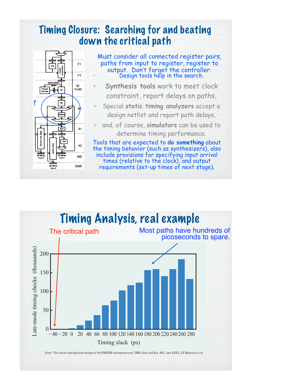

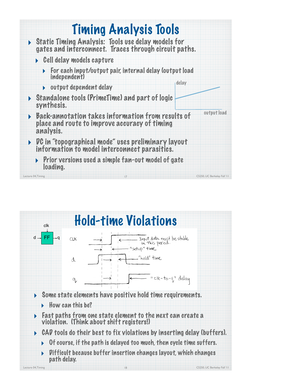